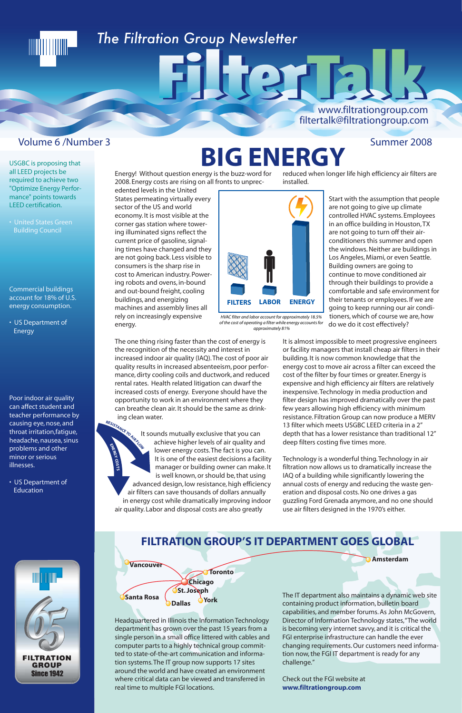USGBC is proposing that all LEED projects be required to achieve two "Optimize Energy Performance" points towards LEED certification.

TIITI I HIITI

• US Department of **Energy** 

• United States Green Building Council

Commercial buildings account for 18% of U.S. energy consumption.

Poor indoor air quality can affect student and teacher performance by causing eye, nose, and throat irritation,fatigue, headache, nausea, sinus problems and other minor or serious illnesses.

• US Department of Education

**Amsterdam**



Energy! Without question energy is the buzz-word for 2008. Energy costs are rising on all fronts to unprec-

edented levels in the United States permeating virtually every sector of the US and world economy. It is most visible at the corner gas station where towering illuminated signs reflect the current price of gasoline, signaling times have changed and they are not going back. Less visible to consumers is the sharp rise in cost to American industry. Powering robots and ovens, in-bound and out-bound freight, cooling buildings, and energizing machines and assembly lines all rely on increasingly expensive energy.

The one thing rising faster than the cost of energy is the recognition of the necessity and interest in increased indoor air quality (IAQ). The cost of poor air quality results in increased absenteeism, poor performance, dirty cooling coils and ductwork, and reduced rental rates. Health related litigation can dwarf the increased costs of energy. Everyone should have the opportunity to work in an environment where they can breathe clean air. It should be the same as drinking clean water.

It sounds mutually exclusive that you can achieve higher levels of air quality and lower energy costs. The fact is you can. It is one of the easiest decisions a facility manager or building owner can make. It is well known, or should be, that using advanced design, low resistance, high efficiency air filters can save thousands of dollars annually in energy cost while dramatically improving indoor air quality. Labor and disposal costs are also greatly

installed.

Start with the assumption that people



are not going to give up climate controlled HVAC systems. Employees in an office building in Houston, TX are not going to turn off their airconditioners this summer and open the windows. Neither are buildings in Los Angeles, Miami, or even Seattle. Building owners are going to continue to move conditioned air through their buildings to provide a comfortable and safe environment for their tenants or employees. If we are going to keep running our air conditioners, which of course we are, how do we do it cost effectively?

It is almost impossible to meet progressive engineers or facility managers that install cheap air filters in their building. It is now common knowledge that the energy cost to move air across a filter can exceed the cost of the filter by four times or greater. Energy is expensive and high efficiency air filters are relatively inexpensive. Technology in media production and filter design has improved dramatically over the past few years allowing high efficiency with minimum resistance. Filtration Group can now produce a MERV 13 filter which meets USGBC LEED criteria in a 2" depth that has a lower resistance than traditional 12" deep filters costing five times more.

## reduced when longer life high efficiency air filters are **BIG ENERGY**

HURTH:

Technology is a wonderful thing. Technology in air filtration now allows us to dramatically increase the IAQ of a building while significantly lowering the annual costs of energy and reducing the waste generation and disposal costs. No one drives a gas guzzling Ford Grenada anymore, and no one should use air filters designed in the 1970's either.



*HVAC filter and labor account for approximately 18.5% of the cost of operating a filter while energy accounts for approximately 81%*



Headquartered in Illinois the Information Technology department has grown over the past 15 years from a single person in a small office littered with cables and computer parts to a highly technical group committed to state-of-the-art communication and information systems. The IT group now supports 17 sites around the world and have created an environment where critical data can be viewed and transferred in real time to multiple FGI locations.

The IT department also maintains a dynamic web site containing product information, bulletin board capabilities, and member forums. As John McGovern, Director of Information Technology states, "The world is becoming very internet savvy, and it is critical the FGI enterprise infrastructure can handle the ever changing requirements. Our customers need information now, the FGI IT department is ready for any challenge."

Check out the FGI website at **www.filtrationgroup.com**

#### **FILTRATION GROUP'S IT DEPARTMENT GOES GLOBAL**

## *The Filtration Group Newsletter*

#### Volume 6 /Number 3 Summer 2008

#### www.filtrationgroup.com filtertalk@filtrationgroup.com